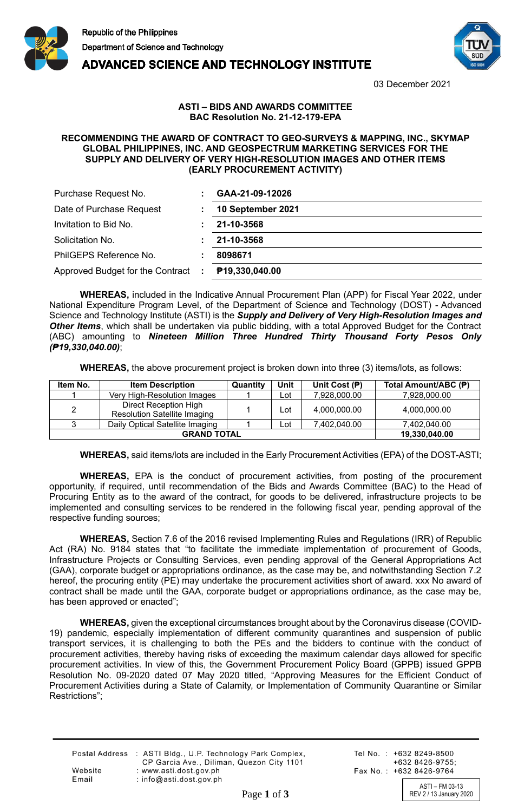



**ADVANCED SCIENCE AND TECHNOLOGY INSTITUTE** 

03 December 2021

## **ASTI – BIDS AND AWARDS COMMITTEE BAC Resolution No. 21-12-179-EPA**

## **RECOMMENDING THE AWARD OF CONTRACT TO GEO-SURVEYS & MAPPING, INC., SKYMAP GLOBAL PHILIPPINES, INC. AND GEOSPECTRUM MARKETING SERVICES FOR THE SUPPLY AND DELIVERY OF VERY HIGH-RESOLUTION IMAGES AND OTHER ITEMS (EARLY PROCUREMENT ACTIVITY)**

| Purchase Request No.               | GAA-21-09-12026   |
|------------------------------------|-------------------|
| Date of Purchase Request           | 10 September 2021 |
| Invitation to Bid No.              | 21-10-3568        |
| Solicitation No.                   | 21-10-3568        |
| PhilGEPS Reference No.             | 8098671           |
| Approved Budget for the Contract : | P19,330,040.00    |

**WHEREAS,** included in the Indicative Annual Procurement Plan (APP) for Fiscal Year 2022, under National Expenditure Program Level, of the Department of Science and Technology (DOST) - Advanced Science and Technology Institute (ASTI) is the *Supply and Delivery of Very High-Resolution Images and Other Items*, which shall be undertaken via public bidding, with a total Approved Budget for the Contract (ABC) amounting to *Nineteen Million Three Hundred Thirty Thousand Forty Pesos Only (₱19,330,040.00)*;

**WHEREAS,** the above procurement project is broken down into three (3) items/lots, as follows:

| Item No.           | <b>Item Description</b>                                      | Quantity | Unit | Unit Cost $(P)$ | Total Amount/ABC (₱) |
|--------------------|--------------------------------------------------------------|----------|------|-----------------|----------------------|
|                    | Very High-Resolution Images                                  |          | ∟ot  | 7.928.000.00    | 7.928.000.00         |
| $\overline{2}$     | Direct Reception High<br><b>Resolution Satellite Imaging</b> |          | Lot  | 4,000,000.00    | 4,000,000.00         |
|                    | Daily Optical Satellite Imaging                              |          | Lot  | 7.402.040.00    | 7,402,040.00         |
| <b>GRAND TOTAL</b> |                                                              |          |      |                 | 19,330,040.00        |

**WHEREAS,** said items/lots are included in the Early Procurement Activities (EPA) of the DOST-ASTI;

**WHEREAS,** EPA is the conduct of procurement activities, from posting of the procurement opportunity, if required, until recommendation of the Bids and Awards Committee (BAC) to the Head of Procuring Entity as to the award of the contract, for goods to be delivered, infrastructure projects to be implemented and consulting services to be rendered in the following fiscal year, pending approval of the respective funding sources;

**WHEREAS,** Section 7.6 of the 2016 revised Implementing Rules and Regulations (IRR) of Republic Act (RA) No. 9184 states that "to facilitate the immediate implementation of procurement of Goods, Infrastructure Projects or Consulting Services, even pending approval of the General Appropriations Act (GAA), corporate budget or appropriations ordinance, as the case may be, and notwithstanding Section 7.2 hereof, the procuring entity (PE) may undertake the procurement activities short of award. xxx No award of contract shall be made until the GAA, corporate budget or appropriations ordinance, as the case may be, has been approved or enacted";

**WHEREAS,** given the exceptional circumstances brought about by the Coronavirus disease (COVID-19) pandemic, especially implementation of different community quarantines and suspension of public transport services, it is challenging to both the PEs and the bidders to continue with the conduct of procurement activities, thereby having risks of exceeding the maximum calendar days allowed for specific procurement activities. In view of this, the Government Procurement Policy Board (GPPB) issued GPPB Resolution No. 09-2020 dated 07 May 2020 titled, "Approving Measures for the Efficient Conduct of Procurement Activities during a State of Calamity, or Implementation of Community Quarantine or Similar Restrictions";

|         | Postal Address : ASTI Bldg., U.P. Technology Park Complex, |
|---------|------------------------------------------------------------|
|         | CP Garcia Ave., Diliman, Quezon City 1101                  |
| Website | : www.asti.dost.gov.ph                                     |
| Email   | $:$ info@asti.dost.gov.ph                                  |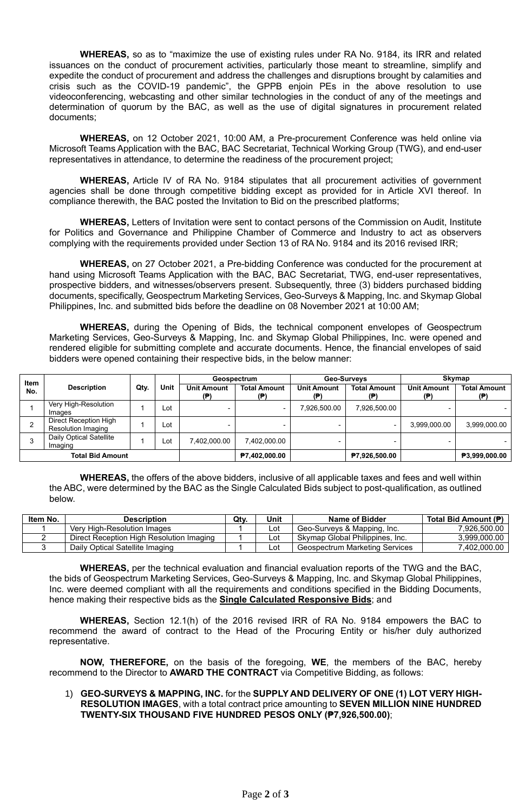**WHEREAS,** so as to "maximize the use of existing rules under RA No. 9184, its IRR and related issuances on the conduct of procurement activities, particularly those meant to streamline, simplify and expedite the conduct of procurement and address the challenges and disruptions brought by calamities and crisis such as the COVID-19 pandemic", the GPPB enjoin PEs in the above resolution to use videoconferencing, webcasting and other similar technologies in the conduct of any of the meetings and determination of quorum by the BAC, as well as the use of digital signatures in procurement related documents;

**WHEREAS,** on 12 October 2021, 10:00 AM, a Pre-procurement Conference was held online via Microsoft Teams Application with the BAC, BAC Secretariat, Technical Working Group (TWG), and end-user representatives in attendance, to determine the readiness of the procurement project;

**WHEREAS,** Article IV of RA No. 9184 stipulates that all procurement activities of government agencies shall be done through competitive bidding except as provided for in Article XVI thereof. In compliance therewith, the BAC posted the Invitation to Bid on the prescribed platforms;

**WHEREAS,** Letters of Invitation were sent to contact persons of the Commission on Audit, Institute for Politics and Governance and Philippine Chamber of Commerce and Industry to act as observers complying with the requirements provided under Section 13 of RA No. 9184 and its 2016 revised IRR;

**WHEREAS,** on 27 October 2021, a Pre-bidding Conference was conducted for the procurement at hand using Microsoft Teams Application with the BAC, BAC Secretariat, TWG, end-user representatives, prospective bidders, and witnesses/observers present. Subsequently, three (3) bidders purchased bidding documents, specifically, Geospectrum Marketing Services, Geo-Surveys & Mapping, Inc. and Skymap Global Philippines, Inc. and submitted bids before the deadline on 08 November 2021 at 10:00 AM;

**WHEREAS,** during the Opening of Bids, the technical component envelopes of Geospectrum Marketing Services, Geo-Surveys & Mapping, Inc. and Skymap Global Philippines, Inc. were opened and rendered eligible for submitting complete and accurate documents. Hence, the financial envelopes of said bidders were opened containing their respective bids, in the below manner:

| <b>Item</b> |                                             |      |      |                           | Geospectrum                | Geo-Surveys               |                            | <b>Skymap</b>             |                           |
|-------------|---------------------------------------------|------|------|---------------------------|----------------------------|---------------------------|----------------------------|---------------------------|---------------------------|
| No.         | <b>Description</b>                          | Qty. | Unit | <b>Unit Amount</b><br>(P) | <b>Total Amount</b><br>(P) | <b>Unit Amount</b><br>(目) | <b>Total Amount</b><br>(₱) | <b>Unit Amount</b><br>(目) | <b>Total Amount</b><br>(₱ |
|             | Very High-Resolution<br>Images              |      | Lot  |                           | $\overline{\phantom{0}}$   | 7,926,500.00              | 7,926,500.00               |                           |                           |
|             | Direct Reception High<br>Resolution Imaging |      | Lot  |                           | $\overline{\phantom{0}}$   |                           |                            | 3,999,000.00              | 3,999,000.00              |
|             | <b>Daily Optical Satellite</b><br>Imaging   |      | Lot  | 402,000.00.7              | 7.402.000.00               |                           |                            |                           |                           |
|             | <b>Total Bid Amount</b>                     |      |      |                           | P7,402,000.00              |                           | ₱7,926,500.00              |                           | ₱3.999.000.00             |

**WHEREAS,** the offers of the above bidders, inclusive of all applicable taxes and fees and well within the ABC, were determined by the BAC as the Single Calculated Bids subject to post-qualification, as outlined below.

| Item No. | <b>Description</b>                       | Qtv. | Unit | Name of Bidder                  | Total Bid Amount (P) |
|----------|------------------------------------------|------|------|---------------------------------|----------------------|
|          | Verv High-Resolution Images              |      | Lot  | Geo-Surveys & Mapping, Inc.     | 7.926.500.00         |
|          | Direct Reception High Resolution Imaging |      | ∟ot  | Skymap Global Philippines, Inc. | 3,999,000.00         |
|          | Daily Optical Satellite Imaging          |      | Lot  | Geospectrum Marketing Services  | 7,402,000.00         |

**WHEREAS,** per the technical evaluation and financial evaluation reports of the TWG and the BAC, the bids of Geospectrum Marketing Services, Geo-Surveys & Mapping, Inc. and Skymap Global Philippines, Inc. were deemed compliant with all the requirements and conditions specified in the Bidding Documents, hence making their respective bids as the **Single Calculated Responsive Bids**; and

**WHEREAS,** Section 12.1(h) of the 2016 revised IRR of RA No. 9184 empowers the BAC to recommend the award of contract to the Head of the Procuring Entity or his/her duly authorized representative.

**NOW, THEREFORE,** on the basis of the foregoing, **WE**, the members of the BAC, hereby recommend to the Director to **AWARD THE CONTRACT** via Competitive Bidding, as follows:

## 1) **GEO-SURVEYS & MAPPING, INC.** for the **SUPPLY AND DELIVERY OF ONE (1) LOT VERY HIGH-RESOLUTION IMAGES**, with a total contract price amounting to **SEVEN MILLION NINE HUNDRED TWENTY-SIX THOUSAND FIVE HUNDRED PESOS ONLY (₱7,926,500.00)**;